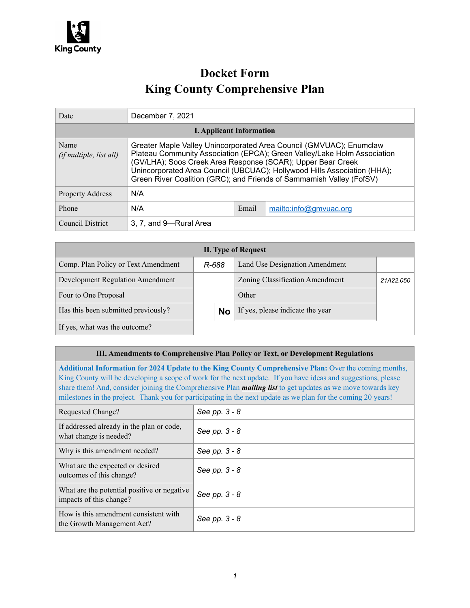

# **Docket Form King County Comprehensive Plan**

| Date                                   | December 7, 2021                                                                                                                                                                                                                                                                                                                                                   |       |                        |  |
|----------------------------------------|--------------------------------------------------------------------------------------------------------------------------------------------------------------------------------------------------------------------------------------------------------------------------------------------------------------------------------------------------------------------|-------|------------------------|--|
| <b>I. Applicant Information</b>        |                                                                                                                                                                                                                                                                                                                                                                    |       |                        |  |
| Name<br><i>(if multiple, list all)</i> | Greater Maple Valley Unincorporated Area Council (GMVUAC); Enumclaw<br>Plateau Community Association (EPCA); Green Valley/Lake Holm Association<br>(GV/LHA); Soos Creek Area Response (SCAR); Upper Bear Creek<br>Unincorporated Area Council (UBCUAC); Hollywood Hills Association (HHA);<br>Green River Coalition (GRC); and Friends of Sammamish Valley (FofSV) |       |                        |  |
| <b>Property Address</b>                | N/A                                                                                                                                                                                                                                                                                                                                                                |       |                        |  |
| Phone                                  | N/A                                                                                                                                                                                                                                                                                                                                                                | Email | mailto:info@gmvuac.org |  |
| Council District                       | 3, 7, and 9-Rural Area                                                                                                                                                                                                                                                                                                                                             |       |                        |  |

| <b>II.</b> Type of Request          |       |           |                                  |           |
|-------------------------------------|-------|-----------|----------------------------------|-----------|
| Comp. Plan Policy or Text Amendment | R-688 |           | Land Use Designation Amendment   |           |
| Development Regulation Amendment    |       |           | Zoning Classification Amendment  | 21A22.050 |
| Four to One Proposal                |       |           | Other                            |           |
| Has this been submitted previously? |       | <b>No</b> | If yes, please indicate the year |           |
| If yes, what was the outcome?       |       |           |                                  |           |

#### **III. Amendments to Comprehensive Plan Policy or Text, or Development Regulations**

**Additional Information for 2024 Update to the King County Comprehensive Plan:** Over the coming months, King County will be developing a scope of work for the next update. If you have ideas and suggestions, please share them! And, consider joining the Comprehensive Plan *[mailing list](https://public.govdelivery.com/accounts/WAKING/subscriber/new?topic_id=WAKING_1057)* to get updates as we move towards key milestones in the project. Thank you for participating in the next update as we plan for the coming 20 years!

| Requested Change?                                                       | See pp. 3 - 8 |
|-------------------------------------------------------------------------|---------------|
| If addressed already in the plan or code,<br>what change is needed?     | See pp. 3 - 8 |
| Why is this amendment needed?                                           | See pp. 3 - 8 |
| What are the expected or desired<br>outcomes of this change?            | See pp. 3 - 8 |
| What are the potential positive or negative.<br>impacts of this change? | See pp. 3 - 8 |
| How is this amendment consistent with<br>the Growth Management Act?     | See pp. 3 - 8 |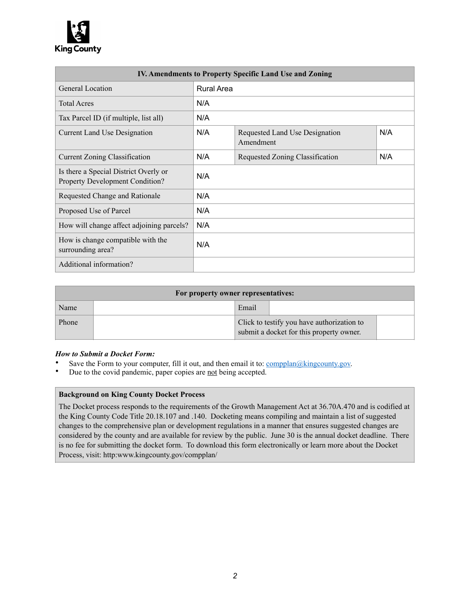

| IV. Amendments to Property Specific Land Use and Zoning                         |            |                                             |     |  |  |
|---------------------------------------------------------------------------------|------------|---------------------------------------------|-----|--|--|
| General Location                                                                | Rural Area |                                             |     |  |  |
| <b>Total Acres</b>                                                              | N/A        |                                             |     |  |  |
| Tax Parcel ID (if multiple, list all)                                           | N/A        |                                             |     |  |  |
| <b>Current Land Use Designation</b>                                             | N/A        | Requested Land Use Designation<br>Amendment | N/A |  |  |
| Current Zoning Classification                                                   | N/A        | Requested Zoning Classification             | N/A |  |  |
| Is there a Special District Overly or<br><b>Property Development Condition?</b> | N/A        |                                             |     |  |  |
| Requested Change and Rationale                                                  | N/A        |                                             |     |  |  |
| Proposed Use of Parcel                                                          | N/A        |                                             |     |  |  |
| How will change affect adjoining parcels?                                       | N/A        |                                             |     |  |  |
| How is change compatible with the<br>surrounding area?                          | N/A        |                                             |     |  |  |
| Additional information?                                                         |            |                                             |     |  |  |

| For property owner representatives: |  |                                                                                        |  |  |
|-------------------------------------|--|----------------------------------------------------------------------------------------|--|--|
| Name                                |  | Email                                                                                  |  |  |
| Phone                               |  | Click to testify you have authorization to<br>submit a docket for this property owner. |  |  |

#### *How to Submit a Docket Form:*

- Save the Form to your computer, fill it out, and then email it to:  $\frac{\text{complan@kingcountv.gov}}{\text{complan@kingcountv.gov}}$ .
- Due to the covid pandemic, paper copies are not being accepted.

#### **Background on King County Docket Process**

The Docket process responds to the requirements of the Growth Management Act at 36.70A.470 and is codified at the King County Code Title 20.18.107 and .140. Docketing means compiling and maintain a list of suggested changes to the comprehensive plan or development regulations in a manner that ensures suggested changes are considered by the county and are available for review by the public. June 30 is the annual docket deadline. There is no fee for submitting the docket form. To download this form electronically or learn more about the Docket Process, visit: http:www.kingcounty.gov/compplan/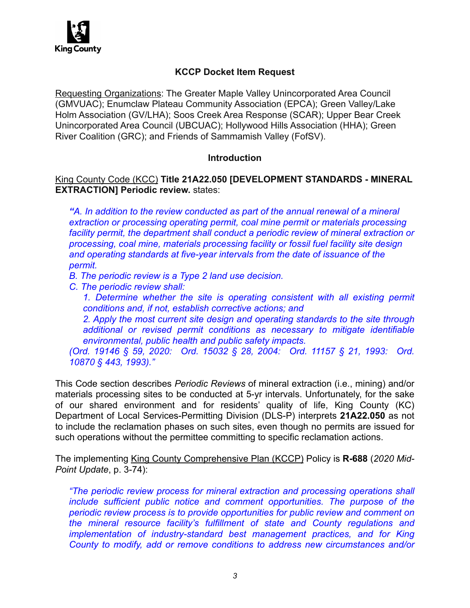

# **KCCP Docket Item Request**

Requesting Organizations: The Greater Maple Valley Unincorporated Area Council (GMVUAC); Enumclaw Plateau Community Association (EPCA); Green Valley/Lake Holm Association (GV/LHA); Soos Creek Area Response (SCAR); Upper Bear Creek Unincorporated Area Council (UBCUAC); Hollywood Hills Association (HHA); Green River Coalition (GRC); and Friends of Sammamish Valley (FofSV).

### **Introduction**

# King County Code (KCC) **Title 21A22.050 [DEVELOPMENT STANDARDS - MINERAL EXTRACTION] Periodic review.** states:

*"A. In addition to the review conducted as part of the annual renewal of a mineral extraction or processing operating permit, coal mine permit or materials processing facility permit, the department shall conduct a periodic review of mineral extraction or processing, coal mine, materials processing facility or fossil fuel facility site design and operating standards at five-year intervals from the date of issuance of the permit.* 

*B. The periodic review is a Type 2 land use decision.* 

*C. The periodic review shall:* 

1. Determine whether the site is operating consistent with all existing permit *conditions and, if not, establish corrective actions; and* 

*2. Apply the most current site design and operating standards to the site through additional or revised permit conditions as necessary to mitigate identifiable environmental, public health and public safety impacts.* 

*(Ord. 19146 § 59, 2020: Ord. 15032 § 28, 2004: Ord. 11157 § 21, 1993: Ord. 10870 § 443, 1993)."* 

This Code section describes *Periodic Reviews* of mineral extraction (i.e., mining) and/or materials processing sites to be conducted at 5-yr intervals. Unfortunately, for the sake of our shared environment and for residents' quality of life, King County (KC) Department of Local Services-Permitting Division (DLS-P) interprets **21A22.050** as not to include the reclamation phases on such sites, even though no permits are issued for such operations without the permittee committing to specific reclamation actions.

The implementing King County Comprehensive Plan (KCCP) Policy is **R-688** (*2020 Mid-Point Update*, p. 3-74):

*"The periodic review process for mineral extraction and processing operations shall include sufficient public notice and comment opportunities. The purpose of the periodic review process is to provide opportunities for public review and comment on the mineral resource facility's fulfillment of state and County regulations and implementation of industry-standard best management practices, and for King County to modify, add or remove conditions to address new circumstances and/or*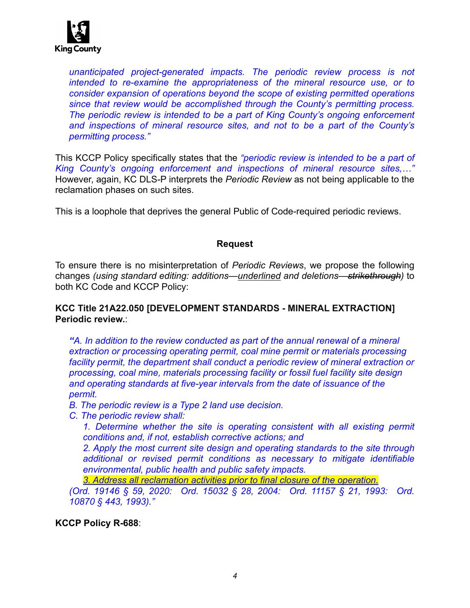

*unanticipated project-generated impacts. The periodic review process is not intended to re-examine the appropriateness of the mineral resource use, or to consider expansion of operations beyond the scope of existing permitted operations since that review would be accomplished through the County's permitting process. The periodic review is intended to be a part of King County's ongoing enforcement and inspections of mineral resource sites, and not to be a part of the County's permitting process."* 

This KCCP Policy specifically states that the *"periodic review is intended to be a part of King County's ongoing enforcement and inspections of mineral resource sites,…"* However, again, KC DLS-P interprets the *Periodic Review* as not being applicable to the reclamation phases on such sites.

This is a loophole that deprives the general Public of Code-required periodic reviews.

### **Request**

To ensure there is no misinterpretation of *Periodic Reviews*, we propose the following changes *(using standard editing: additions—underlined and deletions—strikethrough)* to both KC Code and KCCP Policy:

## **KCC Title 21A22.050 [DEVELOPMENT STANDARDS - MINERAL EXTRACTION] Periodic review.**:

*"A. In addition to the review conducted as part of the annual renewal of a mineral extraction or processing operating permit, coal mine permit or materials processing*  facility permit, the department shall conduct a periodic review of mineral extraction or *processing, coal mine, materials processing facility or fossil fuel facility site design and operating standards at five-year intervals from the date of issuance of the permit.* 

- *B. The periodic review is a Type 2 land use decision.*
- *C. The periodic review shall:*

1. Determine whether the site is operating consistent with all existing permit *conditions and, if not, establish corrective actions; and* 

*2. Apply the most current site design and operating standards to the site through additional or revised permit conditions as necessary to mitigate identifiable environmental, public health and public safety impacts.* 

*3. Address all reclamation activities prior to final closure of the operation.* 

*(Ord. 19146 § 59, 2020: Ord. 15032 § 28, 2004: Ord. 11157 § 21, 1993: Ord. 10870 § 443, 1993)."* 

**KCCP Policy R-688**: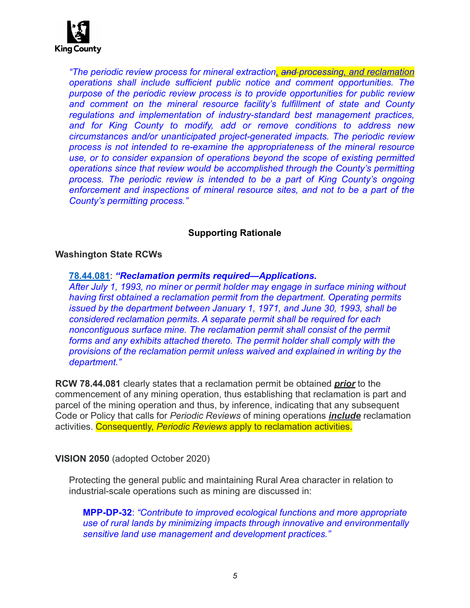

*"The periodic review process for mineral extraction, and processing, and reclamation operations shall include sufficient public notice and comment opportunities. The purpose of the periodic review process is to provide opportunities for public review*  and comment on the mineral resource facility's fulfillment of state and County *regulations and implementation of industry-standard best management practices, and for King County to modify, add or remove conditions to address new circumstances and/or unanticipated project-generated impacts. The periodic review process is not intended to re-examine the appropriateness of the mineral resource use, or to consider expansion of operations beyond the scope of existing permitted operations since that review would be accomplished through the County's permitting process. The periodic review is intended to be a part of King County's ongoing enforcement and inspections of mineral resource sites, and not to be a part of the County's permitting process."* 

# **Supporting Rationale**

### **Washington State RCWs**

#### **[78.44.081](http://app.leg.wa.gov/RCW/default.aspx?cite=78.44.081)**: *"Reclamation permits required—Applications.*

*After July 1, 1993, no miner or permit holder may engage in surface mining without having first obtained a reclamation permit from the department. Operating permits issued by the department between January 1, 1971, and June 30, 1993, shall be considered reclamation permits. A separate permit shall be required for each noncontiguous surface mine. The reclamation permit shall consist of the permit forms and any exhibits attached thereto. The permit holder shall comply with the provisions of the reclamation permit unless waived and explained in writing by the department."* 

**RCW 78.44.081** clearly states that a reclamation permit be obtained *prior* to the commencement of any mining operation, thus establishing that reclamation is part and parcel of the mining operation and thus, by inference, indicating that any subsequent Code or Policy that calls for *Periodic Reviews* of mining operations *include* reclamation activities. Consequently, *Periodic Reviews* apply to reclamation activities.

#### **VISION 2050** (adopted October 2020)

Protecting the general public and maintaining Rural Area character in relation to industrial-scale operations such as mining are discussed in:

**MPP-DP-32**: *"Contribute to improved ecological functions and more appropriate use of rural lands by minimizing impacts through innovative and environmentally sensitive land use management and development practices."*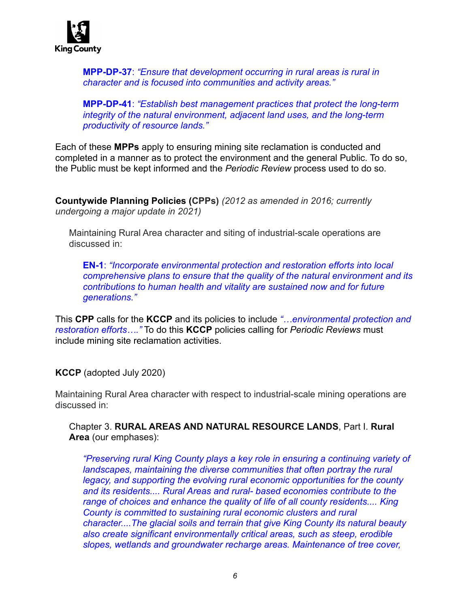

**MPP-DP-37**: *"Ensure that development occurring in rural areas is rural in character and is focused into communities and activity areas."* 

**MPP-DP-41**: *"Establish best management practices that protect the long-term integrity of the natural environment, adjacent land uses, and the long-term productivity of resource lands."* 

Each of these **MPPs** apply to ensuring mining site reclamation is conducted and completed in a manner as to protect the environment and the general Public. To do so, the Public must be kept informed and the *Periodic Review* process used to do so.

**Countywide Planning Policies (CPPs)** *(2012 as amended in 2016; currently undergoing a major update in 2021)*

Maintaining Rural Area character and siting of industrial-scale operations are discussed in:

**EN-1**: *"Incorporate environmental protection and restoration efforts into local comprehensive plans to ensure that the quality of the natural environment and its contributions to human health and vitality are sustained now and for future generations."* 

This **CPP** calls for the **KCCP** and its policies to include *"…environmental protection and restoration efforts…."* To do this **KCCP** policies calling for *Periodic Reviews* must include mining site reclamation activities.

**KCCP** (adopted July 2020)

Maintaining Rural Area character with respect to industrial-scale mining operations are discussed in:

Chapter 3. **RURAL AREAS AND NATURAL RESOURCE LANDS**, Part I. **Rural Area** (our emphases):

*"Preserving rural King County plays a key role in ensuring a continuing variety of landscapes, maintaining the diverse communities that often portray the rural legacy, and supporting the evolving rural economic opportunities for the county and its residents.... Rural Areas and rural- based economies contribute to the range of choices and enhance the quality of life of all county residents.... King County is committed to sustaining rural economic clusters and rural character....The glacial soils and terrain that give King County its natural beauty also create significant environmentally critical areas, such as steep, erodible slopes, wetlands and groundwater recharge areas. Maintenance of tree cover,*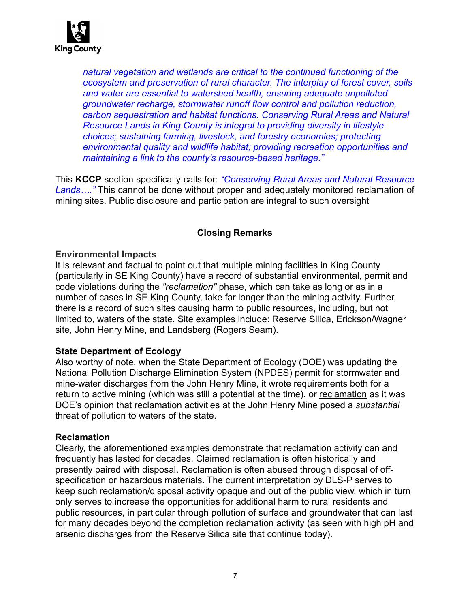

*natural vegetation and wetlands are critical to the continued functioning of the ecosystem and preservation of rural character. The interplay of forest cover, soils and water are essential to watershed health, ensuring adequate unpolluted groundwater recharge, stormwater runoff flow control and pollution reduction, carbon sequestration and habitat functions. Conserving Rural Areas and Natural Resource Lands in King County is integral to providing diversity in lifestyle choices; sustaining farming, livestock, and forestry economies; protecting environmental quality and wildlife habitat; providing recreation opportunities and maintaining a link to the county's resource-based heritage."* 

This **KCCP** section specifically calls for: *"Conserving Rural Areas and Natural Resource Lands…."* This cannot be done without proper and adequately monitored reclamation of mining sites. Public disclosure and participation are integral to such oversight

# **Closing Remarks**

### **Environmental Impacts**

It is relevant and factual to point out that multiple mining facilities in King County (particularly in SE King County) have a record of substantial environmental, permit and code violations during the *"reclamation"* phase, which can take as long or as in a number of cases in SE King County, take far longer than the mining activity. Further, there is a record of such sites causing harm to public resources, including, but not limited to, waters of the state. Site examples include: Reserve Silica, Erickson/Wagner site, John Henry Mine, and Landsberg (Rogers Seam).

## **State Department of Ecology**

Also worthy of note, when the State Department of Ecology (DOE) was updating the National Pollution Discharge Elimination System (NPDES) permit for stormwater and mine-water discharges from the John Henry Mine, it wrote requirements both for a return to active mining (which was still a potential at the time), or reclamation as it was DOE's opinion that reclamation activities at the John Henry Mine posed a *substantial* threat of pollution to waters of the state.

#### **Reclamation**

Clearly, the aforementioned examples demonstrate that reclamation activity can and frequently has lasted for decades. Claimed reclamation is often historically and presently paired with disposal. Reclamation is often abused through disposal of offspecification or hazardous materials. The current interpretation by DLS-P serves to keep such reclamation/disposal activity opaque and out of the public view, which in turn only serves to increase the opportunities for additional harm to rural residents and public resources, in particular through pollution of surface and groundwater that can last for many decades beyond the completion reclamation activity (as seen with high pH and arsenic discharges from the Reserve Silica site that continue today).